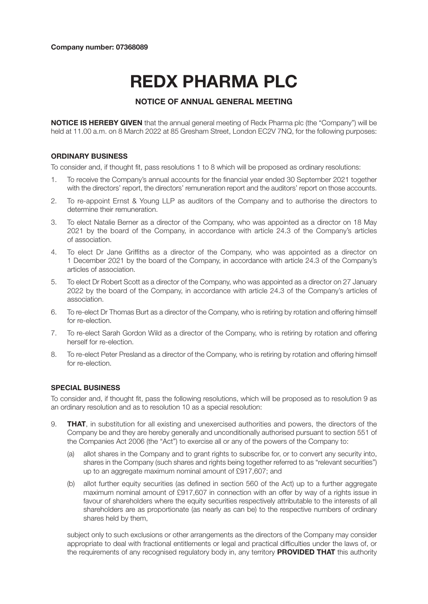# **REDX PHARMA PLC**

# **NOTICE OF ANNUAL GENERAL MEETING**

**NOTICE IS HEREBY GIVEN** that the annual general meeting of Redx Pharma plc (the "Company") will be held at 11.00 a.m. on 8 March 2022 at 85 Gresham Street, London EC2V 7NQ, for the following purposes:

## **ORDINARY BUSINESS**

To consider and, if thought fit, pass resolutions 1 to 8 which will be proposed as ordinary resolutions:

- 1. To receive the Company's annual accounts for the financial year ended 30 September 2021 together with the directors' report, the directors' remuneration report and the auditors' report on those accounts.
- 2. To re-appoint Ernst & Young LLP as auditors of the Company and to authorise the directors to determine their remuneration.
- 3. To elect Natalie Berner as a director of the Company, who was appointed as a director on 18 May 2021 by the board of the Company, in accordance with article 24.3 of the Company's articles of association.
- 4. To elect Dr Jane Griffiths as a director of the Company, who was appointed as a director on 1 December 2021 by the board of the Company, in accordance with article 24.3 of the Company's articles of association.
- 5. To elect Dr Robert Scott as a director of the Company, who was appointed as a director on 27 January 2022 by the board of the Company, in accordance with article 24.3 of the Company's articles of association.
- 6. To re-elect Dr Thomas Burt as a director of the Company, who is retiring by rotation and offering himself for re-election
- 7. To re-elect Sarah Gordon Wild as a director of the Company, who is retiring by rotation and offering herself for re-election.
- 8. To re-elect Peter Presland as a director of the Company, who is retiring by rotation and offering himself for re-election.

## **SPECIAL BUSINESS**

To consider and, if thought fit, pass the following resolutions, which will be proposed as to resolution 9 as an ordinary resolution and as to resolution 10 as a special resolution:

- 9. **THAT**, in substitution for all existing and unexercised authorities and powers, the directors of the Company be and they are hereby generally and unconditionally authorised pursuant to section 551 of the Companies Act 2006 (the "Act") to exercise all or any of the powers of the Company to:
	- (a) allot shares in the Company and to grant rights to subscribe for, or to convert any security into, shares in the Company (such shares and rights being together referred to as "relevant securities") up to an aggregate maximum nominal amount of £917,607; and
	- (b) allot further equity securities (as defined in section 560 of the Act) up to a further aggregate maximum nominal amount of £917,607 in connection with an offer by way of a rights issue in favour of shareholders where the equity securities respectively attributable to the interests of all shareholders are as proportionate (as nearly as can be) to the respective numbers of ordinary shares held by them,

 subject only to such exclusions or other arrangements as the directors of the Company may consider appropriate to deal with fractional entitlements or legal and practical difficulties under the laws of, or the requirements of any recognised regulatory body in, any territory **PROVIDED THAT** this authority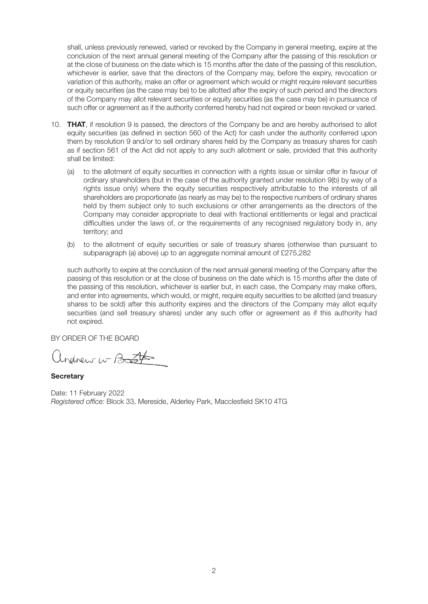shall, unless previously renewed, varied or revoked by the Company in general meeting, expire at the conclusion of the next annual general meeting of the Company after the passing of this resolution or at the close of business on the date which is 15 months after the date of the passing of this resolution, whichever is earlier, save that the directors of the Company may, before the expiry, revocation or variation of this authority, make an offer or agreement which would or might require relevant securities or equity securities (as the case may be) to be allotted after the expiry of such period and the directors of the Company may allot relevant securities or equity securities (as the case may be) in pursuance of such offer or agreement as if the authority conferred hereby had not expired or been revoked or varied.

- 10. **THAT**, if resolution 9 is passed, the directors of the Company be and are hereby authorised to allot equity securities (as defined in section 560 of the Act) for cash under the authority conferred upon them by resolution 9 and/or to sell ordinary shares held by the Company as treasury shares for cash as if section 561 of the Act did not apply to any such allotment or sale, provided that this authority shall be limited:
	- (a) to the allotment of equity securities in connection with a rights issue or similar offer in favour of ordinary shareholders (but in the case of the authority granted under resolution 9(b) by way of a rights issue only) where the equity securities respectively attributable to the interests of all shareholders are proportionate (as nearly as may be) to the respective numbers of ordinary shares held by them subject only to such exclusions or other arrangements as the directors of the Company may consider appropriate to deal with fractional entitlements or legal and practical difficulties under the laws of, or the requirements of any recognised regulatory body in, any territory; and
	- (b) to the allotment of equity securities or sale of treasury shares (otherwise than pursuant to subparagraph (a) above) up to an aggregate nominal amount of £275,282

 such authority to expire at the conclusion of the next annual general meeting of the Company after the passing of this resolution or at the close of business on the date which is 15 months after the date of the passing of this resolution, whichever is earlier but, in each case, the Company may make offers, and enter into agreements, which would, or might, require equity securities to be allotted (and treasury shares to be sold) after this authority expires and the directors of the Company may allot equity securities (and sell treasury shares) under any such offer or agreement as if this authority had not expired.

BY ORDER OF THE BOARD

nelnew w Bost

**Secretary**

Date: 11 February 2022 *Registered office:* Block 33, Mereside, Alderley Park, Macclesfield SK10 4TG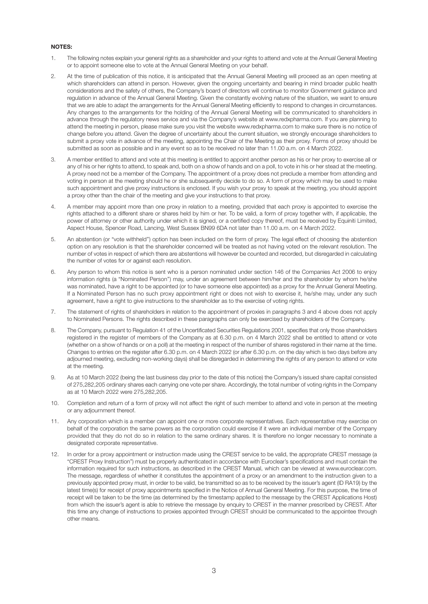## **NOTES:**

- 1. The following notes explain your general rights as a shareholder and your rights to attend and vote at the Annual General Meeting or to appoint someone else to vote at the Annual General Meeting on your behalf.
- 2. At the time of publication of this notice, it is anticipated that the Annual General Meeting will proceed as an open meeting at which shareholders can attend in person. However, given the ongoing uncertainty and bearing in mind broader public health considerations and the safety of others, the Company's board of directors will continue to monitor Government guidance and regulation in advance of the Annual General Meeting. Given the constantly evolving nature of the situation, we want to ensure that we are able to adapt the arrangements for the Annual General Meeting efficiently to respond to changes in circumstances. Any changes to the arrangements for the holding of the Annual General Meeting will be communicated to shareholders in advance through the regulatory news service and via the Company's website at www.redxpharma.com. If you are planning to attend the meeting in person, please make sure you visit the website www.redxpharma.com to make sure there is no notice of change before you attend. Given the degree of uncertainty about the current situation, we strongly encourage shareholders to submit a proxy vote in advance of the meeting, appointing the Chair of the Meeting as their proxy. Forms of proxy should be submitted as soon as possible and in any event so as to be received no later than 11.00 a.m. on 4 March 2022.
- 3. A member entitled to attend and vote at this meeting is entitled to appoint another person as his or her proxy to exercise all or any of his or her rights to attend, to speak and, both on a show of hands and on a poll, to vote in his or her stead at the meeting. A proxy need not be a member of the Company. The appointment of a proxy does not preclude a member from attending and voting in person at the meeting should he or she subsequently decide to do so. A form of proxy which may be used to make such appointment and give proxy instructions is enclosed. If you wish your proxy to speak at the meeting, you should appoint a proxy other than the chair of the meeting and give your instructions to that proxy.
- 4. A member may appoint more than one proxy in relation to a meeting, provided that each proxy is appointed to exercise the rights attached to a different share or shares held by him or her. To be valid, a form of proxy together with, if applicable, the power of attorney or other authority under which it is signed, or a certified copy thereof, must be received by Equiniti Limited, Aspect House, Spencer Road, Lancing, West Sussex BN99 6DA not later than 11.00 a.m. on 4 March 2022.
- 5. An abstention (or "vote withheld'') option has been included on the form of proxy. The legal effect of choosing the abstention option on any resolution is that the shareholder concerned will be treated as not having voted on the relevant resolution. The number of votes in respect of which there are abstentions will however be counted and recorded, but disregarded in calculating the number of votes for or against each resolution.
- 6. Any person to whom this notice is sent who is a person nominated under section 146 of the Companies Act 2006 to enjoy information rights (a "Nominated Person'') may, under an agreement between him/her and the shareholder by whom he/she was nominated, have a right to be appointed (or to have someone else appointed) as a proxy for the Annual General Meeting. If a Nominated Person has no such proxy appointment right or does not wish to exercise it, he/she may, under any such agreement, have a right to give instructions to the shareholder as to the exercise of voting rights.
- 7. The statement of rights of shareholders in relation to the appointment of proxies in paragraphs 3 and 4 above does not apply to Nominated Persons. The rights described in these paragraphs can only be exercised by shareholders of the Company.
- 8. The Company, pursuant to Regulation 41 of the Uncertificated Securities Regulations 2001, specifies that only those shareholders registered in the register of members of the Company as at 6.30 p.m. on 4 March 2022 shall be entitled to attend or vote (whether on a show of hands or on a poll) at the meeting in respect of the number of shares registered in their name at the time. Changes to entries on the register after 6.30 p.m. on 4 March 2022 (or after 6.30 p.m. on the day which is two days before any adjourned meeting, excluding non-working days) shall be disregarded in determining the rights of any person to attend or vote at the meeting.
- 9. As at 10 March 2022 (being the last business day prior to the date of this notice) the Company's issued share capital consisted of 275,282,205 ordinary shares each carrying one vote per share. Accordingly, the total number of voting rights in the Company as at 10 March 2022 were 275,282,205.
- 10. Completion and return of a form of proxy will not affect the right of such member to attend and vote in person at the meeting or any adjournment thereof.
- 11. Any corporation which is a member can appoint one or more corporate representatives. Each representative may exercise on behalf of the corporation the same powers as the corporation could exercise if it were an individual member of the Company provided that they do not do so in relation to the same ordinary shares. It is therefore no longer necessary to nominate a designated corporate representative.
- 12. In order for a proxy appointment or instruction made using the CREST service to be valid, the appropriate CREST message (a "CREST Proxy Instruction") must be properly authenticated in accordance with Euroclear's specifications and must contain the information required for such instructions, as described in the CREST Manual, which can be viewed at www.euroclear.com. The message, regardless of whether it constitutes the appointment of a proxy or an amendment to the instruction given to a previously appointed proxy must, in order to be valid, be transmitted so as to be received by the issuer's agent (ID RA19) by the latest time(s) for receipt of proxy appointments specified in the Notice of Annual General Meeting. For this purpose, the time of receipt will be taken to be the time (as determined by the timestamp applied to the message by the CREST Applications Host) from which the issuer's agent is able to retrieve the message by enquiry to CREST in the manner prescribed by CREST. After this time any change of instructions to proxies appointed through CREST should be communicated to the appointee through other means.